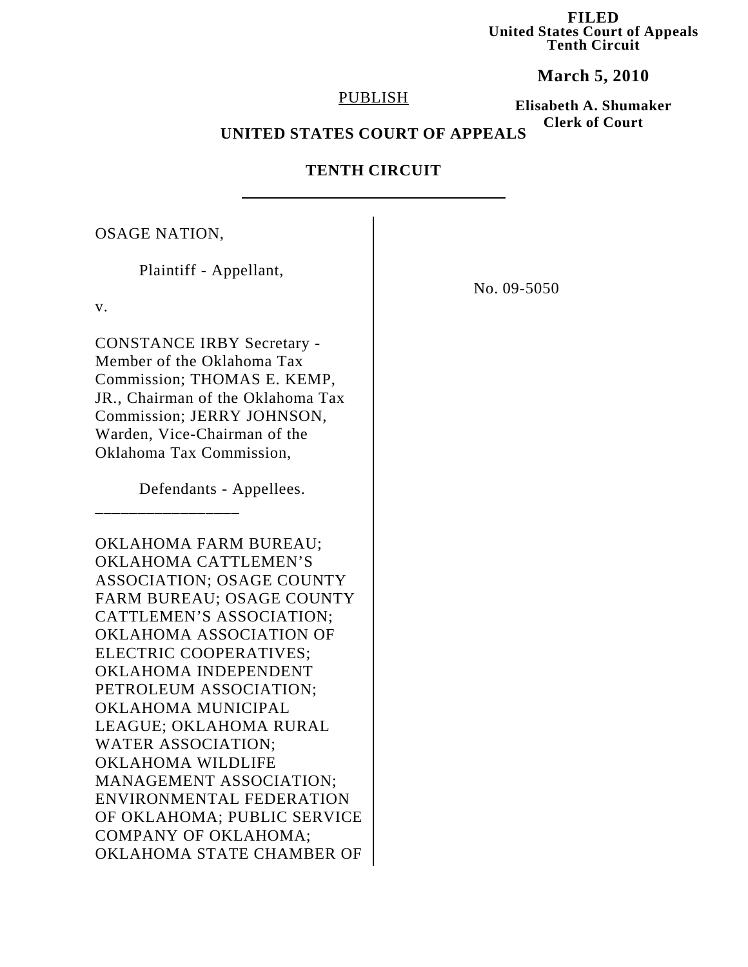**FILED United States Court of Appeals Tenth Circuit**

**March 5, 2010**

#### PUBLISH

**Elisabeth A. Shumaker Clerk of Court**

# **UNITED STATES COURT OF APPEALS**

# **TENTH CIRCUIT**

OSAGE NATION,

Plaintiff - Appellant, v. CONSTANCE IRBY Secretary - Member of the Oklahoma Tax Commission; THOMAS E. KEMP, JR., Chairman of the Oklahoma Tax Commission; JERRY JOHNSON, Warden, Vice-Chairman of the Oklahoma Tax Commission, Defendants - Appellees. \_\_\_\_\_\_\_\_\_\_\_\_\_\_\_\_\_ OKLAHOMA FARM BUREAU; OKLAHOMA CATTLEMEN'S ASSOCIATION; OSAGE COUNTY FARM BUREAU; OSAGE COUNTY CATTLEMEN'S ASSOCIATION; OKLAHOMA ASSOCIATION OF ELECTRIC COOPERATIVES; OKLAHOMA INDEPENDENT PETROLEUM ASSOCIATION; OKLAHOMA MUNICIPAL LEAGUE; OKLAHOMA RURAL WATER ASSOCIATION; OKLAHOMA WILDLIFE MANAGEMENT ASSOCIATION; ENVIRONMENTAL FEDERATION OF OKLAHOMA; PUBLIC SERVICE COMPANY OF OKLAHOMA; OKLAHOMA STATE CHAMBER OF

No. 09-5050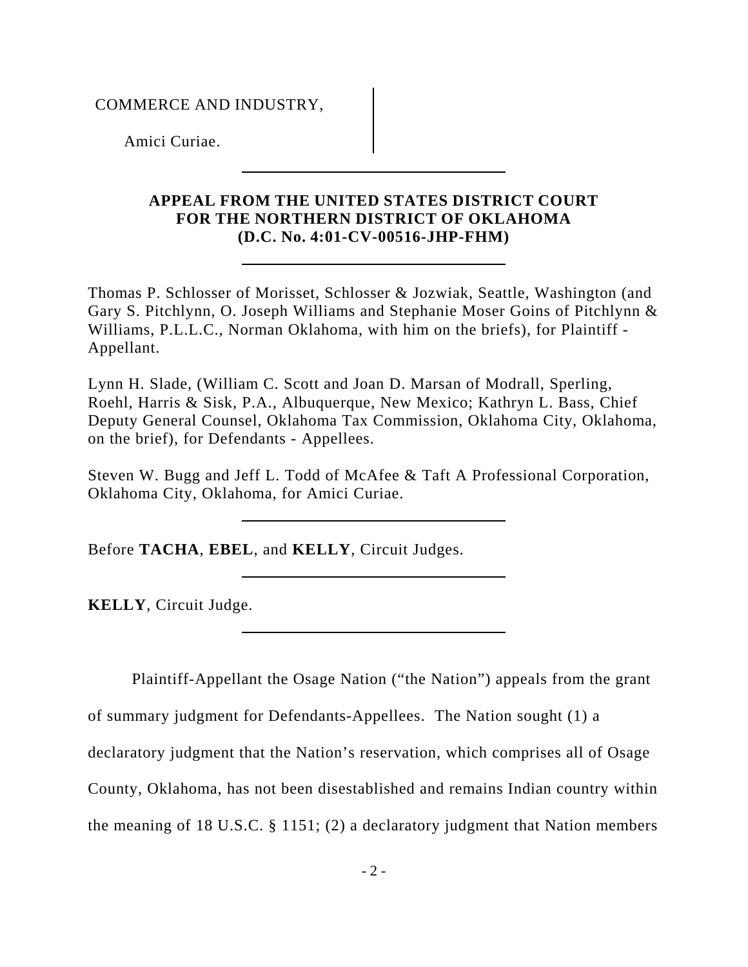## COMMERCE AND INDUSTRY,

Amici Curiae.

# **APPEAL FROM THE UNITED STATES DISTRICT COURT FOR THE NORTHERN DISTRICT OF OKLAHOMA (D.C. No. 4:01-CV-00516-JHP-FHM)**

Thomas P. Schlosser of Morisset, Schlosser & Jozwiak, Seattle, Washington (and Gary S. Pitchlynn, O. Joseph Williams and Stephanie Moser Goins of Pitchlynn & Williams, P.L.L.C., Norman Oklahoma, with him on the briefs), for Plaintiff - Appellant.

Lynn H. Slade, (William C. Scott and Joan D. Marsan of Modrall, Sperling, Roehl, Harris & Sisk, P.A., Albuquerque, New Mexico; Kathryn L. Bass, Chief Deputy General Counsel, Oklahoma Tax Commission, Oklahoma City, Oklahoma, on the brief), for Defendants - Appellees.

Steven W. Bugg and Jeff L. Todd of McAfee & Taft A Professional Corporation, Oklahoma City, Oklahoma, for Amici Curiae.

Before **TACHA**, **EBEL**, and **KELLY**, Circuit Judges.

**KELLY**, Circuit Judge.

Plaintiff-Appellant the Osage Nation ("the Nation") appeals from the grant

of summary judgment for Defendants-Appellees. The Nation sought (1) a

declaratory judgment that the Nation's reservation, which comprises all of Osage

County, Oklahoma, has not been disestablished and remains Indian country within

the meaning of 18 U.S.C. § 1151; (2) a declaratory judgment that Nation members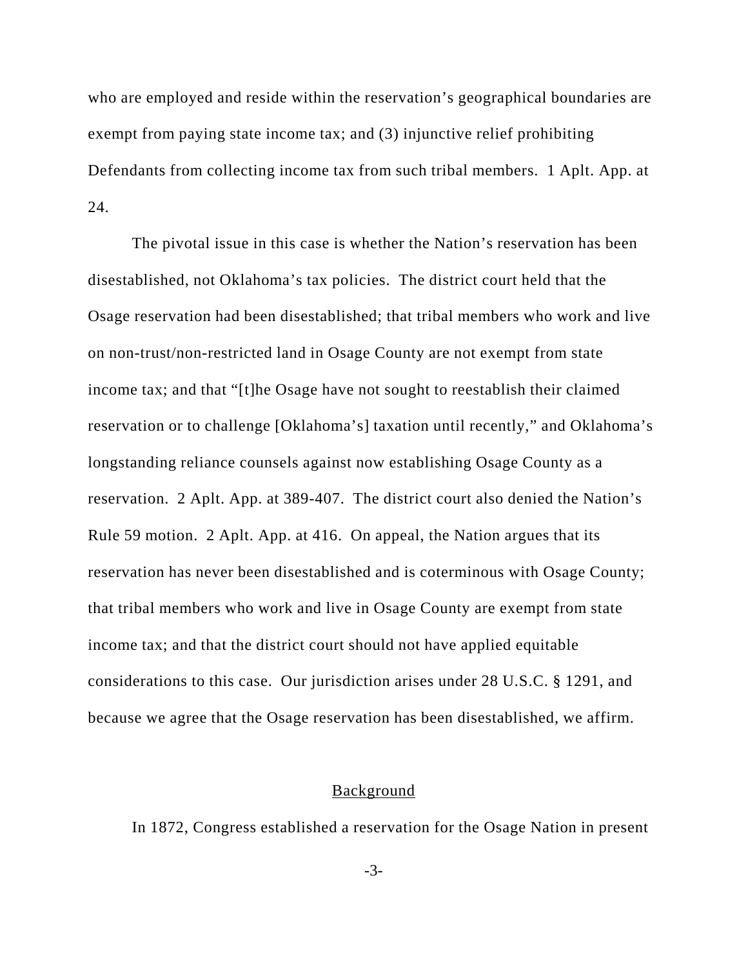who are employed and reside within the reservation's geographical boundaries are exempt from paying state income tax; and (3) injunctive relief prohibiting Defendants from collecting income tax from such tribal members. 1 Aplt. App. at 24.

The pivotal issue in this case is whether the Nation's reservation has been disestablished, not Oklahoma's tax policies. The district court held that the Osage reservation had been disestablished; that tribal members who work and live on non-trust/non-restricted land in Osage County are not exempt from state income tax; and that "[t]he Osage have not sought to reestablish their claimed reservation or to challenge [Oklahoma's] taxation until recently," and Oklahoma's longstanding reliance counsels against now establishing Osage County as a reservation. 2 Aplt. App. at 389-407. The district court also denied the Nation's Rule 59 motion. 2 Aplt. App. at 416. On appeal, the Nation argues that its reservation has never been disestablished and is coterminous with Osage County; that tribal members who work and live in Osage County are exempt from state income tax; and that the district court should not have applied equitable considerations to this case. Our jurisdiction arises under 28 U.S.C. § 1291, and because we agree that the Osage reservation has been disestablished, we affirm.

#### **Background**

In 1872, Congress established a reservation for the Osage Nation in present

-3-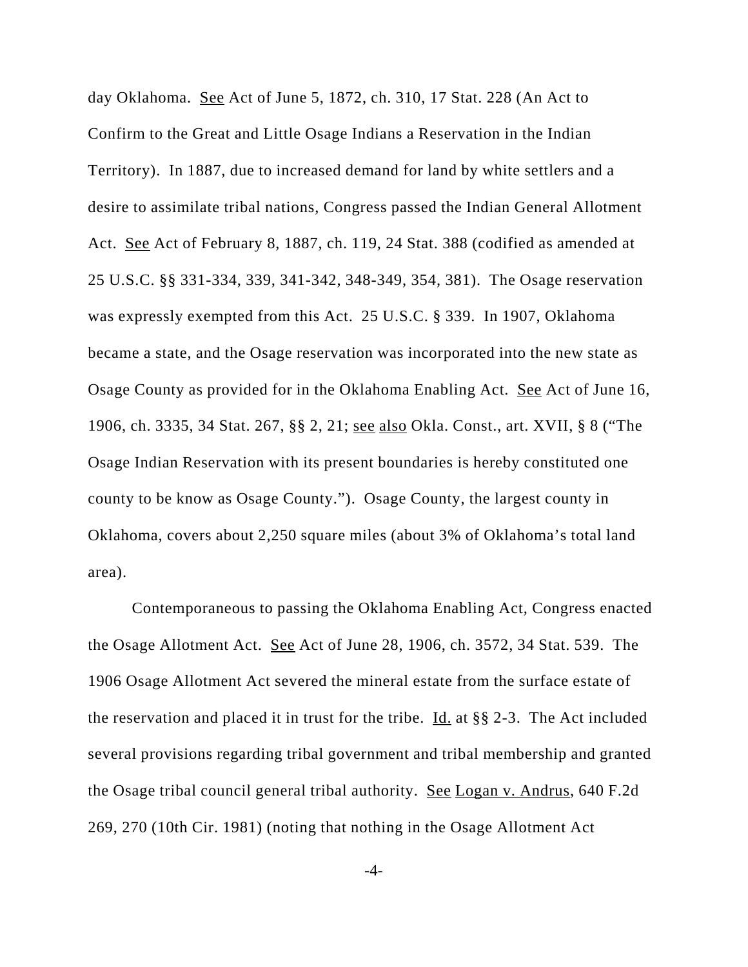day Oklahoma. See Act of June 5, 1872, ch. 310, 17 Stat. 228 (An Act to Confirm to the Great and Little Osage Indians a Reservation in the Indian Territory). In 1887, due to increased demand for land by white settlers and a desire to assimilate tribal nations, Congress passed the Indian General Allotment Act. See Act of February 8, 1887, ch. 119, 24 Stat. 388 (codified as amended at 25 U.S.C. §§ 331-334, 339, 341-342, 348-349, 354, 381). The Osage reservation was expressly exempted from this Act. 25 U.S.C. § 339. In 1907, Oklahoma became a state, and the Osage reservation was incorporated into the new state as Osage County as provided for in the Oklahoma Enabling Act. See Act of June 16, 1906, ch. 3335, 34 Stat. 267, §§ 2, 21; see also Okla. Const., art. XVII, § 8 ("The Osage Indian Reservation with its present boundaries is hereby constituted one county to be know as Osage County."). Osage County, the largest county in Oklahoma, covers about 2,250 square miles (about 3% of Oklahoma's total land area).

Contemporaneous to passing the Oklahoma Enabling Act, Congress enacted the Osage Allotment Act. See Act of June 28, 1906, ch. 3572, 34 Stat. 539. The 1906 Osage Allotment Act severed the mineral estate from the surface estate of the reservation and placed it in trust for the tribe. Id. at §§ 2-3. The Act included several provisions regarding tribal government and tribal membership and granted the Osage tribal council general tribal authority. See Logan v. Andrus, 640 F.2d 269, 270 (10th Cir. 1981) (noting that nothing in the Osage Allotment Act

-4-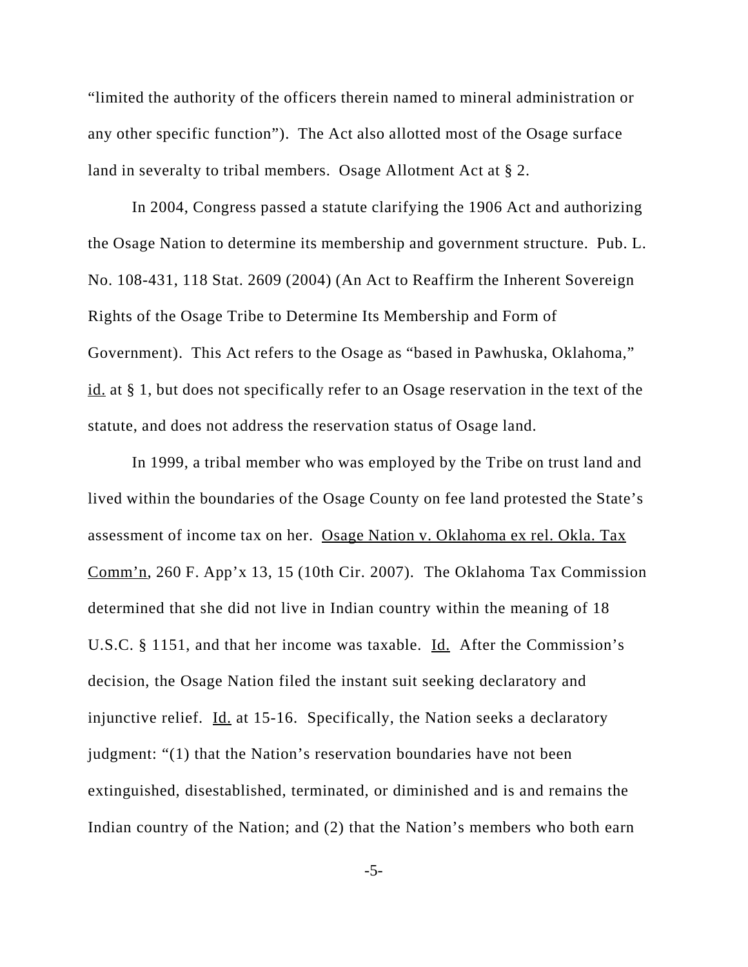"limited the authority of the officers therein named to mineral administration or any other specific function"). The Act also allotted most of the Osage surface land in severalty to tribal members. Osage Allotment Act at § 2.

In 2004, Congress passed a statute clarifying the 1906 Act and authorizing the Osage Nation to determine its membership and government structure. Pub. L. No. 108-431, 118 Stat. 2609 (2004) (An Act to Reaffirm the Inherent Sovereign Rights of the Osage Tribe to Determine Its Membership and Form of Government). This Act refers to the Osage as "based in Pawhuska, Oklahoma," id. at § 1, but does not specifically refer to an Osage reservation in the text of the statute, and does not address the reservation status of Osage land.

In 1999, a tribal member who was employed by the Tribe on trust land and lived within the boundaries of the Osage County on fee land protested the State's assessment of income tax on her. Osage Nation v. Oklahoma ex rel. Okla. Tax Comm'n, 260 F. App'x 13, 15 (10th Cir. 2007). The Oklahoma Tax Commission determined that she did not live in Indian country within the meaning of 18 U.S.C. § 1151, and that her income was taxable. Id. After the Commission's decision, the Osage Nation filed the instant suit seeking declaratory and injunctive relief.  $\underline{Id}$  at 15-16. Specifically, the Nation seeks a declaratory judgment: "(1) that the Nation's reservation boundaries have not been extinguished, disestablished, terminated, or diminished and is and remains the Indian country of the Nation; and (2) that the Nation's members who both earn

-5-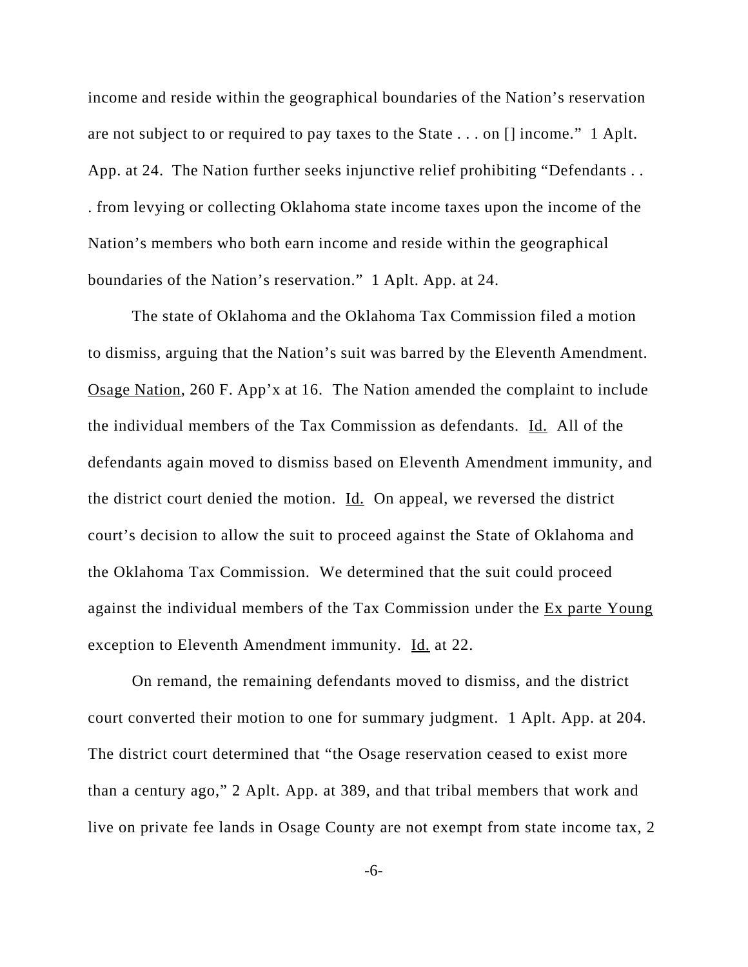income and reside within the geographical boundaries of the Nation's reservation are not subject to or required to pay taxes to the State . . . on [] income." 1 Aplt. App. at 24. The Nation further seeks injunctive relief prohibiting "Defendants . . . from levying or collecting Oklahoma state income taxes upon the income of the Nation's members who both earn income and reside within the geographical boundaries of the Nation's reservation." 1 Aplt. App. at 24.

The state of Oklahoma and the Oklahoma Tax Commission filed a motion to dismiss, arguing that the Nation's suit was barred by the Eleventh Amendment. Osage Nation, 260 F. App'x at 16. The Nation amended the complaint to include the individual members of the Tax Commission as defendants. Id. All of the defendants again moved to dismiss based on Eleventh Amendment immunity, and the district court denied the motion. Id. On appeal, we reversed the district court's decision to allow the suit to proceed against the State of Oklahoma and the Oklahoma Tax Commission. We determined that the suit could proceed against the individual members of the Tax Commission under the Ex parte Young exception to Eleventh Amendment immunity. Id. at 22.

On remand, the remaining defendants moved to dismiss, and the district court converted their motion to one for summary judgment. 1 Aplt. App. at 204. The district court determined that "the Osage reservation ceased to exist more than a century ago," 2 Aplt. App. at 389, and that tribal members that work and live on private fee lands in Osage County are not exempt from state income tax, 2

-6-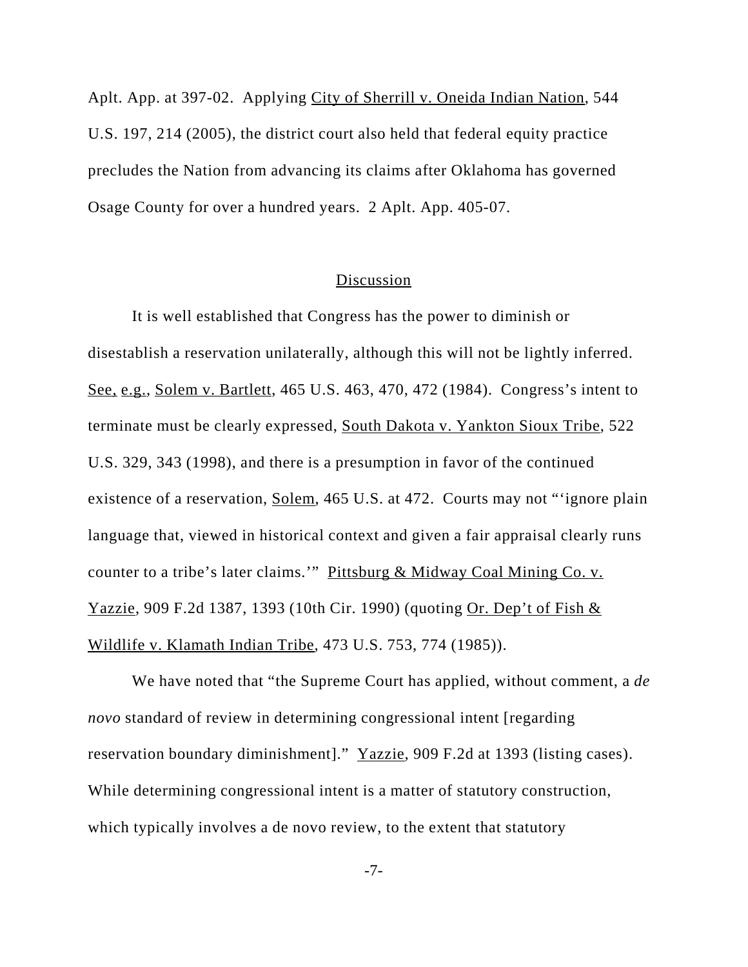Aplt. App. at 397-02. Applying City of Sherrill v. Oneida Indian Nation, 544 U.S. 197, 214 (2005), the district court also held that federal equity practice precludes the Nation from advancing its claims after Oklahoma has governed Osage County for over a hundred years. 2 Aplt. App. 405-07.

### Discussion

It is well established that Congress has the power to diminish or disestablish a reservation unilaterally, although this will not be lightly inferred. See, e.g., Solem v. Bartlett, 465 U.S. 463, 470, 472 (1984). Congress's intent to terminate must be clearly expressed, South Dakota v. Yankton Sioux Tribe, 522 U.S. 329, 343 (1998), and there is a presumption in favor of the continued existence of a reservation, Solem, 465 U.S. at 472. Courts may not "'ignore plain language that, viewed in historical context and given a fair appraisal clearly runs counter to a tribe's later claims.'" Pittsburg & Midway Coal Mining Co. v. Yazzie, 909 F.2d 1387, 1393 (10th Cir. 1990) (quoting Or. Dep't of Fish & Wildlife v. Klamath Indian Tribe, 473 U.S. 753, 774 (1985)).

We have noted that "the Supreme Court has applied, without comment, a *de novo* standard of review in determining congressional intent [regarding reservation boundary diminishment]." Yazzie, 909 F.2d at 1393 (listing cases). While determining congressional intent is a matter of statutory construction, which typically involves a de novo review, to the extent that statutory

-7-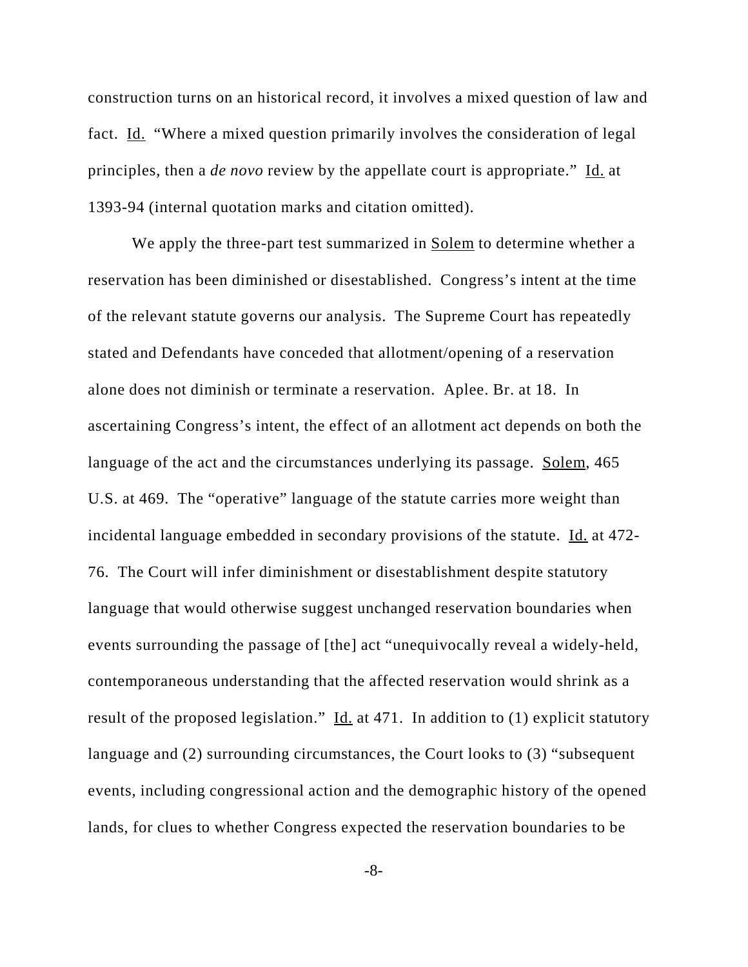construction turns on an historical record, it involves a mixed question of law and fact. Id. "Where a mixed question primarily involves the consideration of legal principles, then a *de novo* review by the appellate court is appropriate." Id. at 1393-94 (internal quotation marks and citation omitted).

We apply the three-part test summarized in Solem to determine whether a reservation has been diminished or disestablished. Congress's intent at the time of the relevant statute governs our analysis. The Supreme Court has repeatedly stated and Defendants have conceded that allotment/opening of a reservation alone does not diminish or terminate a reservation. Aplee. Br. at 18. In ascertaining Congress's intent, the effect of an allotment act depends on both the language of the act and the circumstances underlying its passage. Solem, 465 U.S. at 469. The "operative" language of the statute carries more weight than incidental language embedded in secondary provisions of the statute. Id. at 472-76. The Court will infer diminishment or disestablishment despite statutory language that would otherwise suggest unchanged reservation boundaries when events surrounding the passage of [the] act "unequivocally reveal a widely-held, contemporaneous understanding that the affected reservation would shrink as a result of the proposed legislation."  $\underline{Id}$  at 471. In addition to (1) explicit statutory language and (2) surrounding circumstances, the Court looks to (3) "subsequent events, including congressional action and the demographic history of the opened lands, for clues to whether Congress expected the reservation boundaries to be

-8-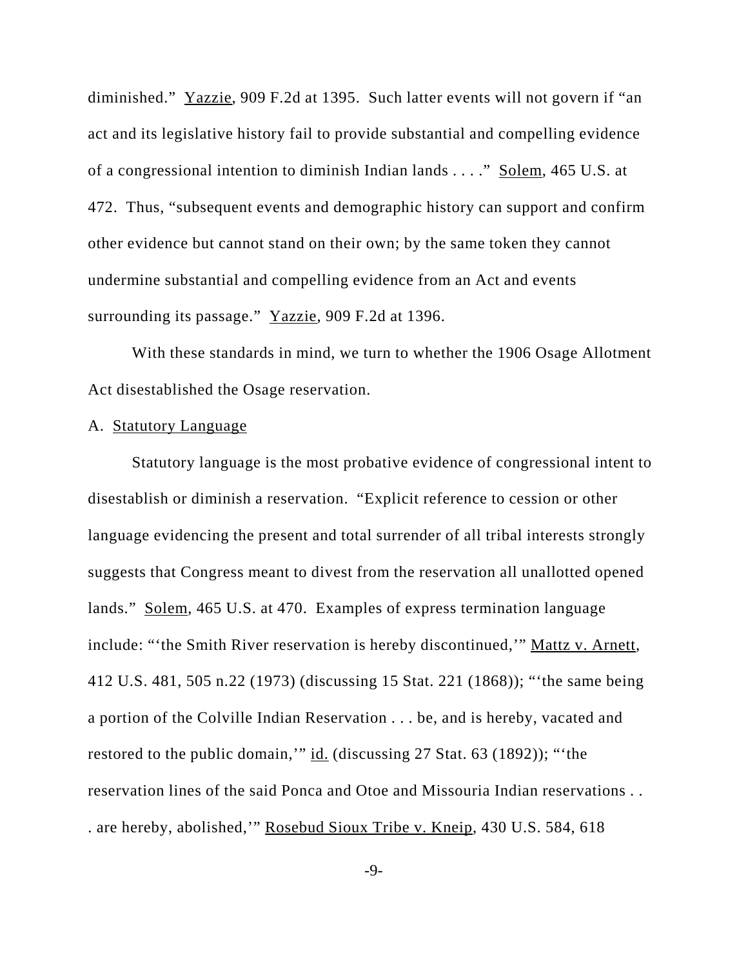diminished." Yazzie, 909 F.2d at 1395. Such latter events will not govern if "an act and its legislative history fail to provide substantial and compelling evidence of a congressional intention to diminish Indian lands . . . ." Solem, 465 U.S. at 472. Thus, "subsequent events and demographic history can support and confirm other evidence but cannot stand on their own; by the same token they cannot undermine substantial and compelling evidence from an Act and events surrounding its passage." Yazzie, 909 F.2d at 1396.

With these standards in mind, we turn to whether the 1906 Osage Allotment Act disestablished the Osage reservation.

#### A. Statutory Language

Statutory language is the most probative evidence of congressional intent to disestablish or diminish a reservation. "Explicit reference to cession or other language evidencing the present and total surrender of all tribal interests strongly suggests that Congress meant to divest from the reservation all unallotted opened lands." Solem, 465 U.S. at 470. Examples of express termination language include: "'the Smith River reservation is hereby discontinued,'" Mattz v. Arnett, 412 U.S. 481, 505 n.22 (1973) (discussing 15 Stat. 221 (1868)); "'the same being a portion of the Colville Indian Reservation . . . be, and is hereby, vacated and restored to the public domain," id. (discussing 27 Stat. 63 (1892)); "'the reservation lines of the said Ponca and Otoe and Missouria Indian reservations . . . are hereby, abolished,'" Rosebud Sioux Tribe v. Kneip, 430 U.S. 584, 618

-9-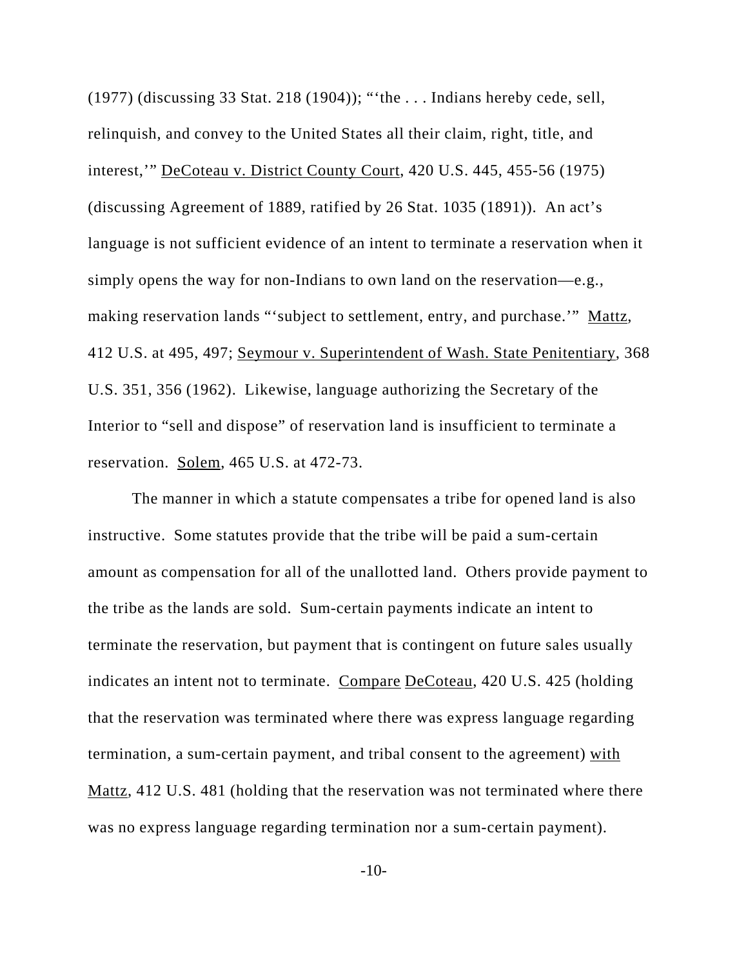(1977) (discussing 33 Stat. 218 (1904)); "'the . . . Indians hereby cede, sell, relinquish, and convey to the United States all their claim, right, title, and interest,'" DeCoteau v. District County Court, 420 U.S. 445, 455-56 (1975) (discussing Agreement of 1889, ratified by 26 Stat. 1035 (1891)). An act's language is not sufficient evidence of an intent to terminate a reservation when it simply opens the way for non-Indians to own land on the reservation—e.g., making reservation lands "'subject to settlement, entry, and purchase." Mattz, 412 U.S. at 495, 497; Seymour v. Superintendent of Wash. State Penitentiary, 368 U.S. 351, 356 (1962). Likewise, language authorizing the Secretary of the Interior to "sell and dispose" of reservation land is insufficient to terminate a reservation. Solem, 465 U.S. at 472-73.

The manner in which a statute compensates a tribe for opened land is also instructive. Some statutes provide that the tribe will be paid a sum-certain amount as compensation for all of the unallotted land. Others provide payment to the tribe as the lands are sold. Sum-certain payments indicate an intent to terminate the reservation, but payment that is contingent on future sales usually indicates an intent not to terminate. Compare DeCoteau, 420 U.S. 425 (holding that the reservation was terminated where there was express language regarding termination, a sum-certain payment, and tribal consent to the agreement) with Mattz, 412 U.S. 481 (holding that the reservation was not terminated where there was no express language regarding termination nor a sum-certain payment).

-10-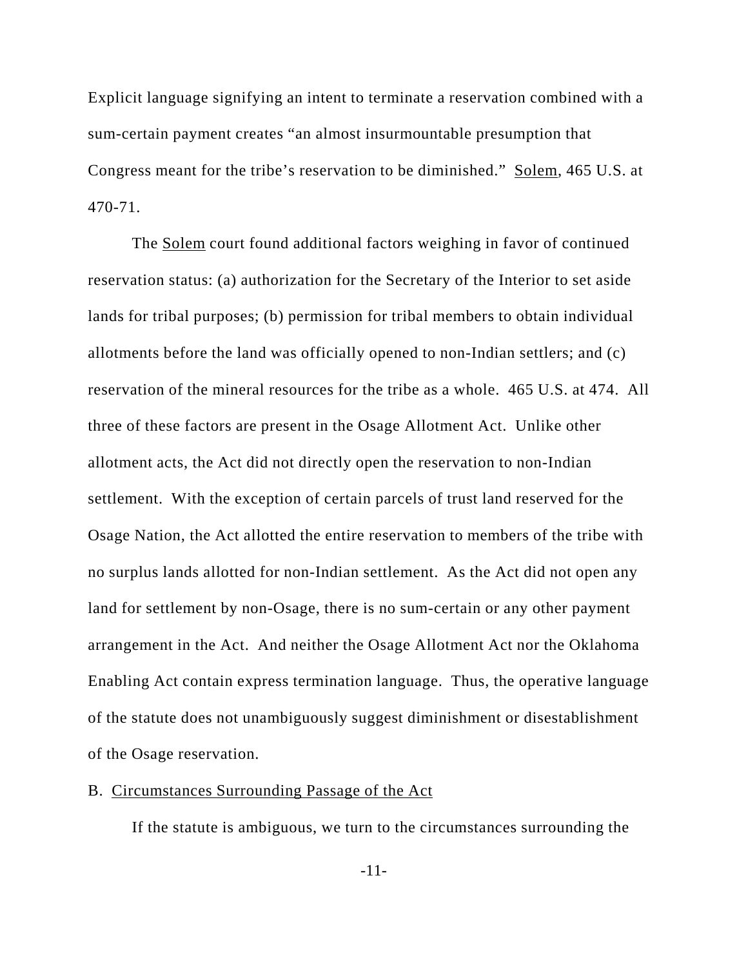Explicit language signifying an intent to terminate a reservation combined with a sum-certain payment creates "an almost insurmountable presumption that Congress meant for the tribe's reservation to be diminished." Solem, 465 U.S. at 470-71.

The Solem court found additional factors weighing in favor of continued reservation status: (a) authorization for the Secretary of the Interior to set aside lands for tribal purposes; (b) permission for tribal members to obtain individual allotments before the land was officially opened to non-Indian settlers; and (c) reservation of the mineral resources for the tribe as a whole. 465 U.S. at 474. All three of these factors are present in the Osage Allotment Act. Unlike other allotment acts, the Act did not directly open the reservation to non-Indian settlement. With the exception of certain parcels of trust land reserved for the Osage Nation, the Act allotted the entire reservation to members of the tribe with no surplus lands allotted for non-Indian settlement. As the Act did not open any land for settlement by non-Osage, there is no sum-certain or any other payment arrangement in the Act. And neither the Osage Allotment Act nor the Oklahoma Enabling Act contain express termination language. Thus, the operative language of the statute does not unambiguously suggest diminishment or disestablishment of the Osage reservation.

## B. Circumstances Surrounding Passage of the Act

If the statute is ambiguous, we turn to the circumstances surrounding the

-11-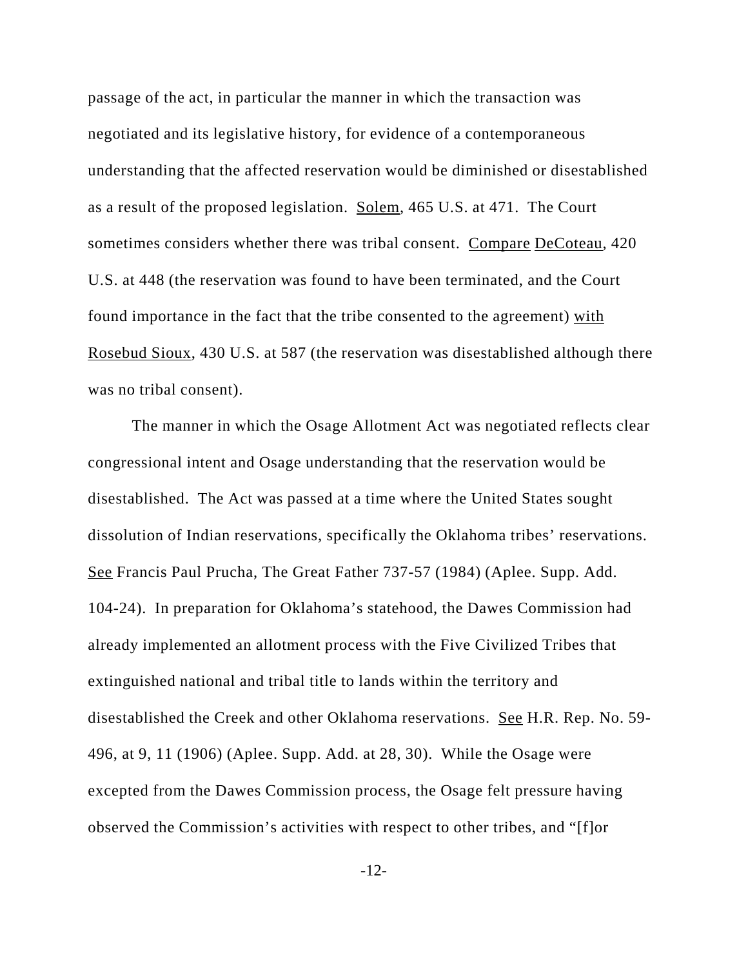passage of the act, in particular the manner in which the transaction was negotiated and its legislative history, for evidence of a contemporaneous understanding that the affected reservation would be diminished or disestablished as a result of the proposed legislation. Solem, 465 U.S. at 471. The Court sometimes considers whether there was tribal consent. Compare DeCoteau, 420 U.S. at 448 (the reservation was found to have been terminated, and the Court found importance in the fact that the tribe consented to the agreement) with Rosebud Sioux, 430 U.S. at 587 (the reservation was disestablished although there was no tribal consent).

The manner in which the Osage Allotment Act was negotiated reflects clear congressional intent and Osage understanding that the reservation would be disestablished. The Act was passed at a time where the United States sought dissolution of Indian reservations, specifically the Oklahoma tribes' reservations. See Francis Paul Prucha, The Great Father 737-57 (1984) (Aplee. Supp. Add. 104-24). In preparation for Oklahoma's statehood, the Dawes Commission had already implemented an allotment process with the Five Civilized Tribes that extinguished national and tribal title to lands within the territory and disestablished the Creek and other Oklahoma reservations. See H.R. Rep. No. 59- 496, at 9, 11 (1906) (Aplee. Supp. Add. at 28, 30). While the Osage were excepted from the Dawes Commission process, the Osage felt pressure having observed the Commission's activities with respect to other tribes, and "[f]or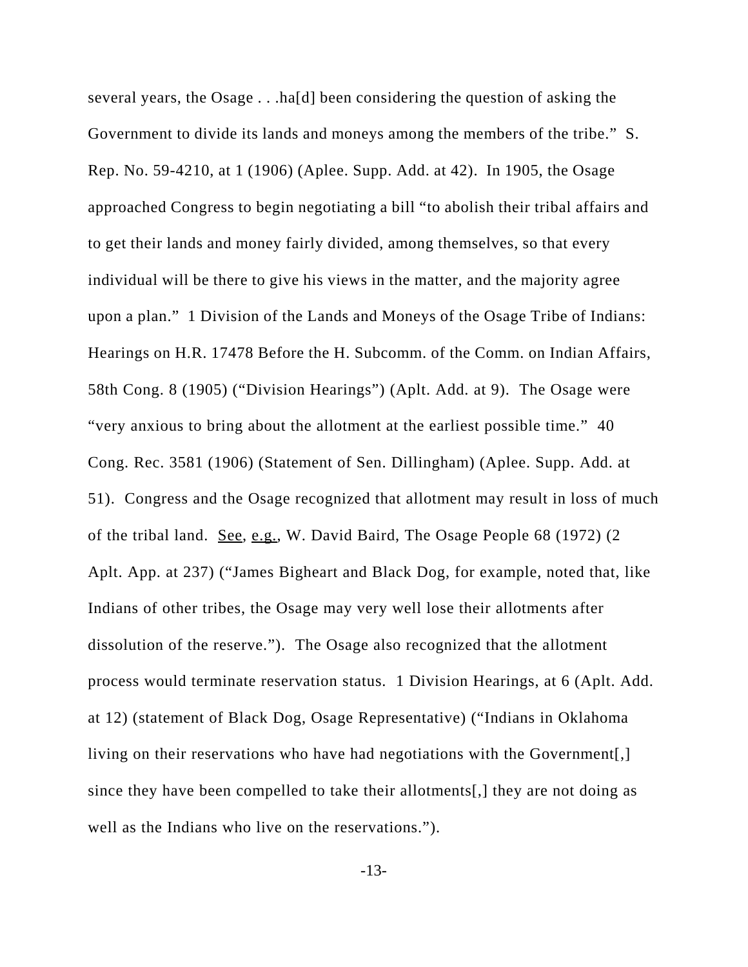several years, the Osage . . .ha[d] been considering the question of asking the Government to divide its lands and moneys among the members of the tribe." S. Rep. No. 59-4210, at 1 (1906) (Aplee. Supp. Add. at 42). In 1905, the Osage approached Congress to begin negotiating a bill "to abolish their tribal affairs and to get their lands and money fairly divided, among themselves, so that every individual will be there to give his views in the matter, and the majority agree upon a plan." 1 Division of the Lands and Moneys of the Osage Tribe of Indians: Hearings on H.R. 17478 Before the H. Subcomm. of the Comm. on Indian Affairs, 58th Cong. 8 (1905) ("Division Hearings") (Aplt. Add. at 9). The Osage were "very anxious to bring about the allotment at the earliest possible time." 40 Cong. Rec. 3581 (1906) (Statement of Sen. Dillingham) (Aplee. Supp. Add. at 51). Congress and the Osage recognized that allotment may result in loss of much of the tribal land. See, e.g., W. David Baird, The Osage People 68 (1972) (2 Aplt. App. at 237) ("James Bigheart and Black Dog, for example, noted that, like Indians of other tribes, the Osage may very well lose their allotments after dissolution of the reserve."). The Osage also recognized that the allotment process would terminate reservation status. 1 Division Hearings, at 6 (Aplt. Add. at 12) (statement of Black Dog, Osage Representative) ("Indians in Oklahoma living on their reservations who have had negotiations with the Government. since they have been compelled to take their allotments[,] they are not doing as well as the Indians who live on the reservations.").

-13-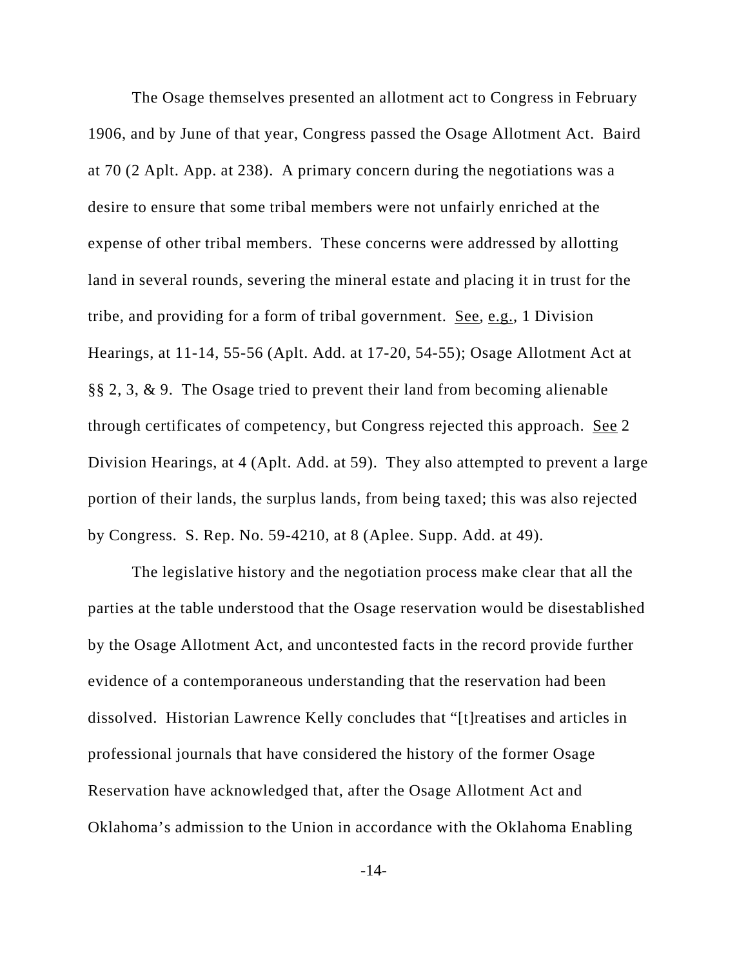The Osage themselves presented an allotment act to Congress in February 1906, and by June of that year, Congress passed the Osage Allotment Act. Baird at 70 (2 Aplt. App. at 238). A primary concern during the negotiations was a desire to ensure that some tribal members were not unfairly enriched at the expense of other tribal members. These concerns were addressed by allotting land in several rounds, severing the mineral estate and placing it in trust for the tribe, and providing for a form of tribal government. See, e.g., 1 Division Hearings, at 11-14, 55-56 (Aplt. Add. at 17-20, 54-55); Osage Allotment Act at §§ 2, 3, & 9. The Osage tried to prevent their land from becoming alienable through certificates of competency, but Congress rejected this approach. See 2 Division Hearings, at 4 (Aplt. Add. at 59). They also attempted to prevent a large portion of their lands, the surplus lands, from being taxed; this was also rejected by Congress. S. Rep. No. 59-4210, at 8 (Aplee. Supp. Add. at 49).

The legislative history and the negotiation process make clear that all the parties at the table understood that the Osage reservation would be disestablished by the Osage Allotment Act, and uncontested facts in the record provide further evidence of a contemporaneous understanding that the reservation had been dissolved. Historian Lawrence Kelly concludes that "[t]reatises and articles in professional journals that have considered the history of the former Osage Reservation have acknowledged that, after the Osage Allotment Act and Oklahoma's admission to the Union in accordance with the Oklahoma Enabling

-14-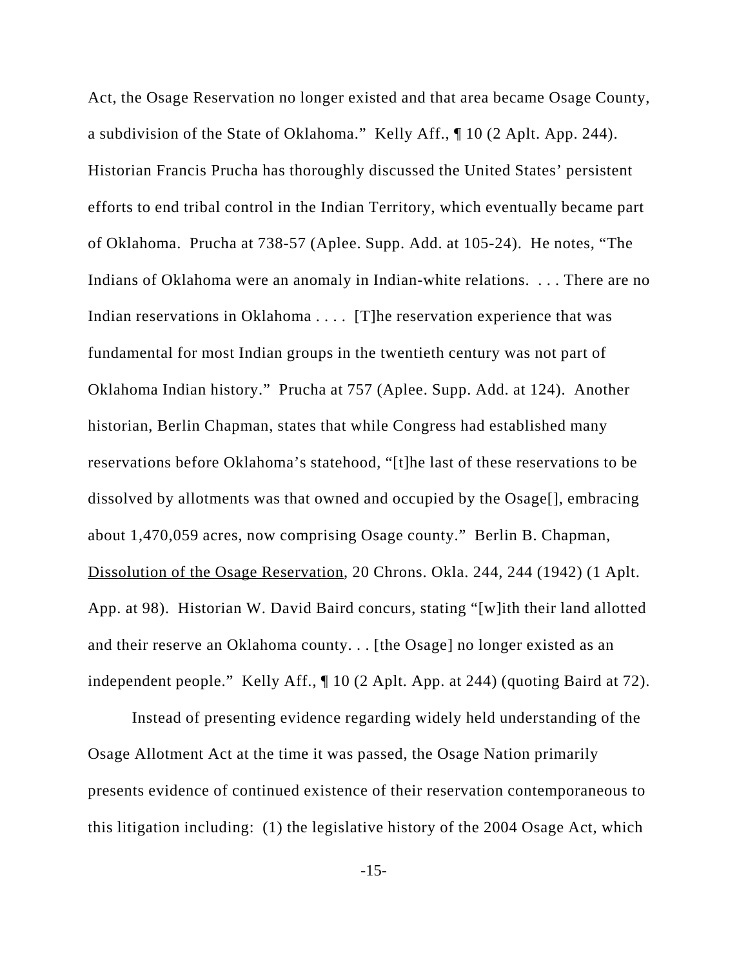Act, the Osage Reservation no longer existed and that area became Osage County, a subdivision of the State of Oklahoma." Kelly Aff., ¶ 10 (2 Aplt. App. 244). Historian Francis Prucha has thoroughly discussed the United States' persistent efforts to end tribal control in the Indian Territory, which eventually became part of Oklahoma. Prucha at 738-57 (Aplee. Supp. Add. at 105-24). He notes, "The Indians of Oklahoma were an anomaly in Indian-white relations. . . . There are no Indian reservations in Oklahoma . . . . [T] he reservation experience that was fundamental for most Indian groups in the twentieth century was not part of Oklahoma Indian history." Prucha at 757 (Aplee. Supp. Add. at 124). Another historian, Berlin Chapman, states that while Congress had established many reservations before Oklahoma's statehood, "[t]he last of these reservations to be dissolved by allotments was that owned and occupied by the Osage[], embracing about 1,470,059 acres, now comprising Osage county." Berlin B. Chapman, Dissolution of the Osage Reservation, 20 Chrons. Okla. 244, 244 (1942) (1 Aplt. App. at 98). Historian W. David Baird concurs, stating "[w]ith their land allotted and their reserve an Oklahoma county. . . [the Osage] no longer existed as an independent people." Kelly Aff., ¶ 10 (2 Aplt. App. at 244) (quoting Baird at 72).

Instead of presenting evidence regarding widely held understanding of the Osage Allotment Act at the time it was passed, the Osage Nation primarily presents evidence of continued existence of their reservation contemporaneous to this litigation including: (1) the legislative history of the 2004 Osage Act, which

-15-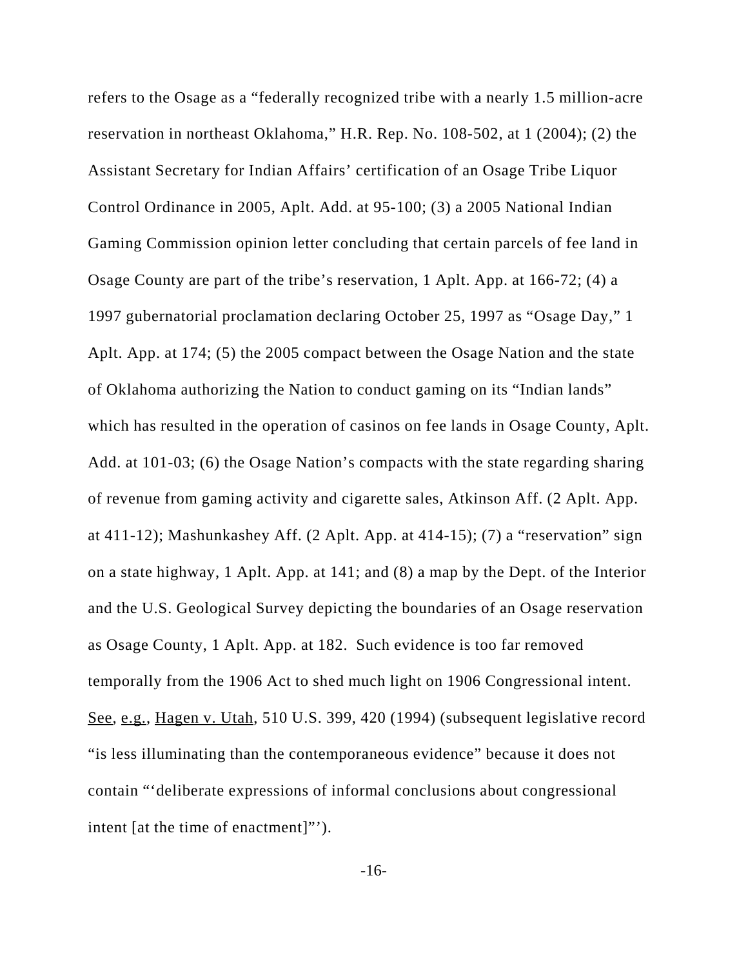refers to the Osage as a "federally recognized tribe with a nearly 1.5 million-acre reservation in northeast Oklahoma," H.R. Rep. No. 108-502, at 1 (2004); (2) the Assistant Secretary for Indian Affairs' certification of an Osage Tribe Liquor Control Ordinance in 2005, Aplt. Add. at 95-100; (3) a 2005 National Indian Gaming Commission opinion letter concluding that certain parcels of fee land in Osage County are part of the tribe's reservation, 1 Aplt. App. at 166-72; (4) a 1997 gubernatorial proclamation declaring October 25, 1997 as "Osage Day," 1 Aplt. App. at 174; (5) the 2005 compact between the Osage Nation and the state of Oklahoma authorizing the Nation to conduct gaming on its "Indian lands" which has resulted in the operation of casinos on fee lands in Osage County, Aplt. Add. at 101-03; (6) the Osage Nation's compacts with the state regarding sharing of revenue from gaming activity and cigarette sales, Atkinson Aff. (2 Aplt. App. at 411-12); Mashunkashey Aff. (2 Aplt. App. at 414-15); (7) a "reservation" sign on a state highway, 1 Aplt. App. at 141; and (8) a map by the Dept. of the Interior and the U.S. Geological Survey depicting the boundaries of an Osage reservation as Osage County, 1 Aplt. App. at 182. Such evidence is too far removed temporally from the 1906 Act to shed much light on 1906 Congressional intent. See, e.g., Hagen v. Utah, 510 U.S. 399, 420 (1994) (subsequent legislative record "is less illuminating than the contemporaneous evidence" because it does not contain "'deliberate expressions of informal conclusions about congressional intent [at the time of enactment]"').

-16-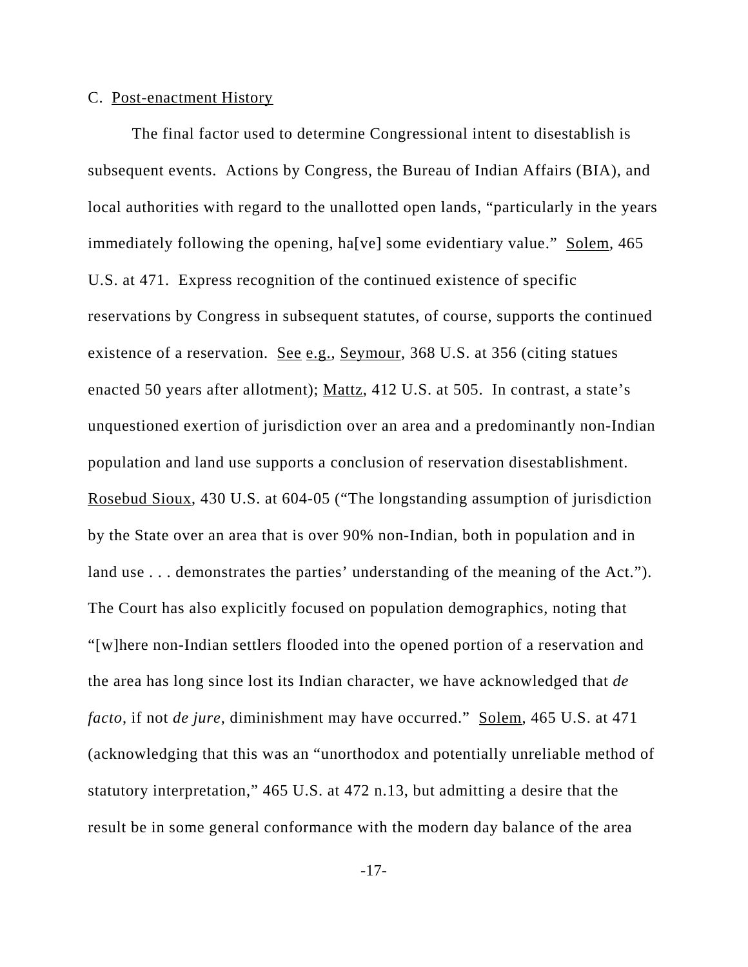### C. Post-enactment History

The final factor used to determine Congressional intent to disestablish is subsequent events. Actions by Congress, the Bureau of Indian Affairs (BIA), and local authorities with regard to the unallotted open lands, "particularly in the years immediately following the opening, ha[ve] some evidentiary value." Solem, 465 U.S. at 471. Express recognition of the continued existence of specific reservations by Congress in subsequent statutes, of course, supports the continued existence of a reservation. See e.g., Seymour, 368 U.S. at 356 (citing statues enacted 50 years after allotment); Mattz, 412 U.S. at 505. In contrast, a state's unquestioned exertion of jurisdiction over an area and a predominantly non-Indian population and land use supports a conclusion of reservation disestablishment. Rosebud Sioux, 430 U.S. at 604-05 ("The longstanding assumption of jurisdiction by the State over an area that is over 90% non-Indian, both in population and in land use . . . demonstrates the parties' understanding of the meaning of the Act."). The Court has also explicitly focused on population demographics, noting that "[w]here non-Indian settlers flooded into the opened portion of a reservation and the area has long since lost its Indian character, we have acknowledged that *de facto*, if not *de jure*, diminishment may have occurred." Solem, 465 U.S. at 471 (acknowledging that this was an "unorthodox and potentially unreliable method of statutory interpretation," 465 U.S. at 472 n.13, but admitting a desire that the result be in some general conformance with the modern day balance of the area

-17-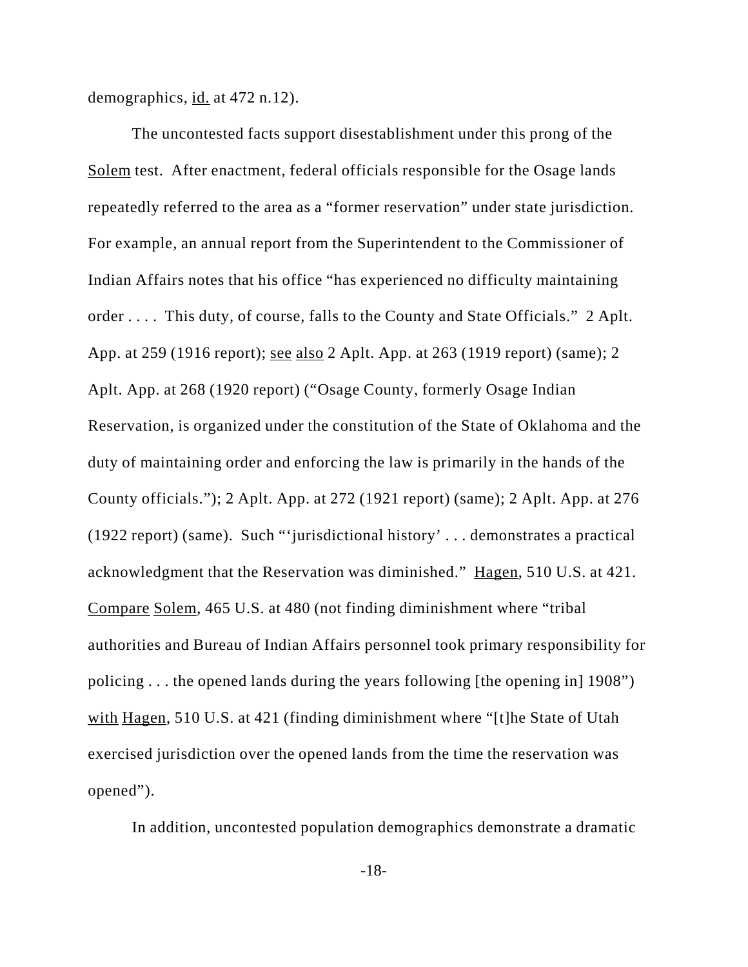demographics, id. at 472 n.12).

The uncontested facts support disestablishment under this prong of the Solem test. After enactment, federal officials responsible for the Osage lands repeatedly referred to the area as a "former reservation" under state jurisdiction. For example, an annual report from the Superintendent to the Commissioner of Indian Affairs notes that his office "has experienced no difficulty maintaining order . . . . This duty, of course, falls to the County and State Officials." 2 Aplt. App. at 259 (1916 report); see also 2 Aplt. App. at 263 (1919 report) (same); 2 Aplt. App. at 268 (1920 report) ("Osage County, formerly Osage Indian Reservation, is organized under the constitution of the State of Oklahoma and the duty of maintaining order and enforcing the law is primarily in the hands of the County officials."); 2 Aplt. App. at 272 (1921 report) (same); 2 Aplt. App. at 276 (1922 report) (same). Such "'jurisdictional history' . . . demonstrates a practical acknowledgment that the Reservation was diminished." Hagen, 510 U.S. at 421. Compare Solem, 465 U.S. at 480 (not finding diminishment where "tribal authorities and Bureau of Indian Affairs personnel took primary responsibility for policing . . . the opened lands during the years following [the opening in] 1908") with Hagen, 510 U.S. at 421 (finding diminishment where "[t]he State of Utah exercised jurisdiction over the opened lands from the time the reservation was opened").

In addition, uncontested population demographics demonstrate a dramatic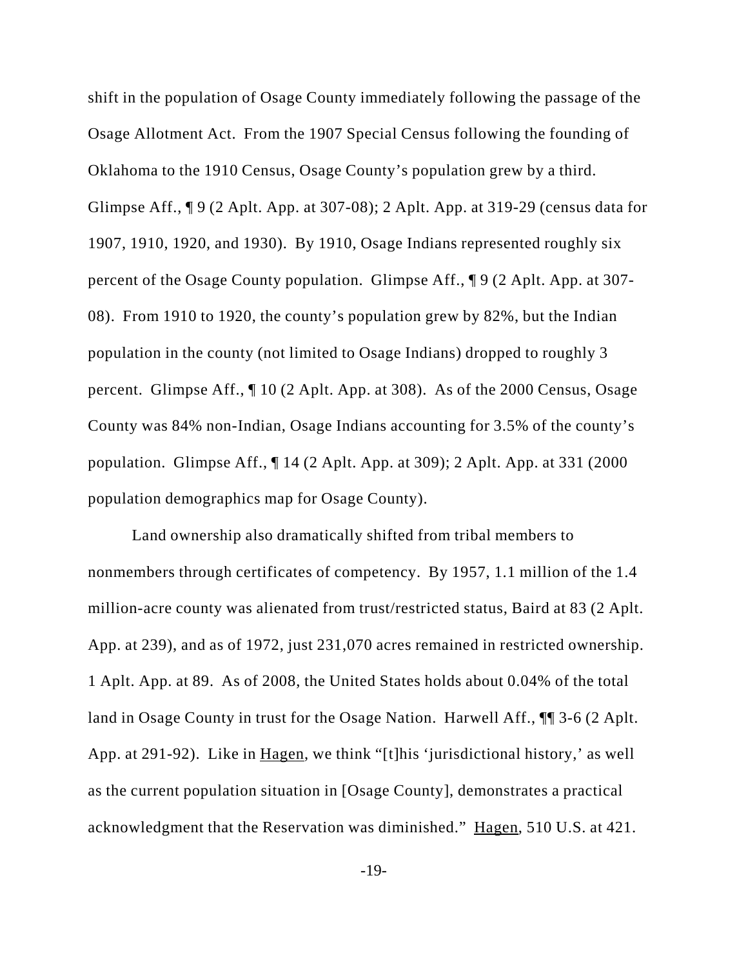shift in the population of Osage County immediately following the passage of the Osage Allotment Act. From the 1907 Special Census following the founding of Oklahoma to the 1910 Census, Osage County's population grew by a third. Glimpse Aff., ¶ 9 (2 Aplt. App. at 307-08); 2 Aplt. App. at 319-29 (census data for 1907, 1910, 1920, and 1930). By 1910, Osage Indians represented roughly six percent of the Osage County population. Glimpse Aff., ¶ 9 (2 Aplt. App. at 307- 08). From 1910 to 1920, the county's population grew by 82%, but the Indian population in the county (not limited to Osage Indians) dropped to roughly 3 percent. Glimpse Aff., ¶ 10 (2 Aplt. App. at 308). As of the 2000 Census, Osage County was 84% non-Indian, Osage Indians accounting for 3.5% of the county's population. Glimpse Aff., ¶ 14 (2 Aplt. App. at 309); 2 Aplt. App. at 331 (2000 population demographics map for Osage County).

Land ownership also dramatically shifted from tribal members to nonmembers through certificates of competency. By 1957, 1.1 million of the 1.4 million-acre county was alienated from trust/restricted status, Baird at 83 (2 Aplt. App. at 239), and as of 1972, just 231,070 acres remained in restricted ownership. 1 Aplt. App. at 89. As of 2008, the United States holds about 0.04% of the total land in Osage County in trust for the Osage Nation. Harwell Aff., ¶¶ 3-6 (2 Aplt. App. at 291-92). Like in Hagen, we think "[t]his 'jurisdictional history,' as well as the current population situation in [Osage County], demonstrates a practical acknowledgment that the Reservation was diminished." Hagen, 510 U.S. at 421.

-19-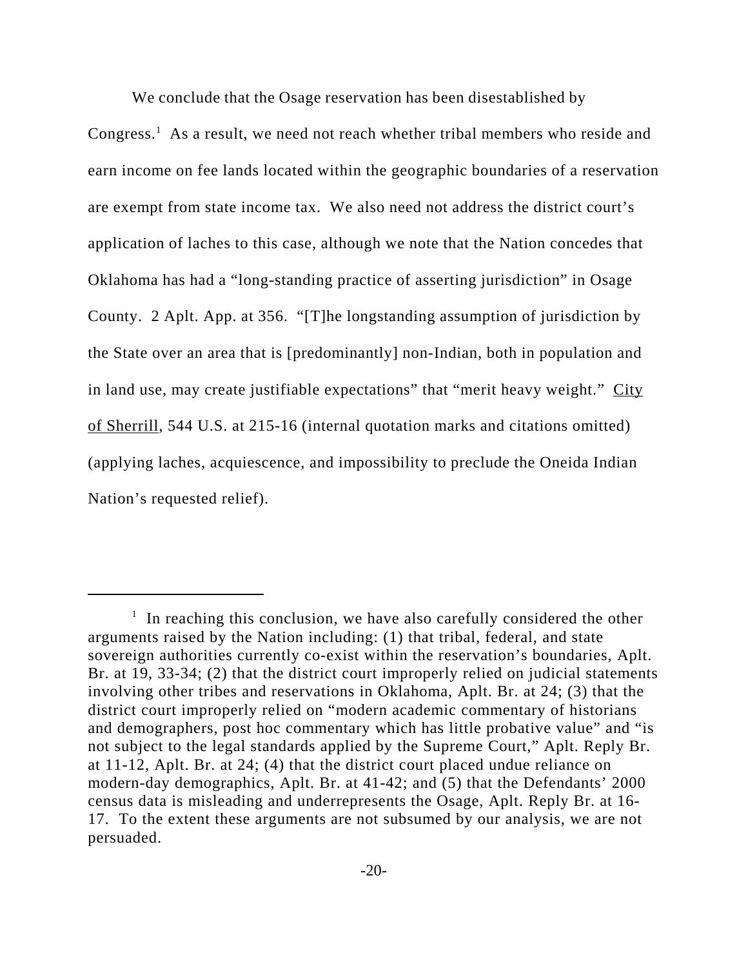We conclude that the Osage reservation has been disestablished by

Congress.<sup>1</sup> As a result, we need not reach whether tribal members who reside and earn income on fee lands located within the geographic boundaries of a reservation are exempt from state income tax. We also need not address the district court's application of laches to this case, although we note that the Nation concedes that Oklahoma has had a "long-standing practice of asserting jurisdiction" in Osage County. 2 Aplt. App. at 356. "[T]he longstanding assumption of jurisdiction by the State over an area that is [predominantly] non-Indian, both in population and in land use, may create justifiable expectations" that "merit heavy weight." City of Sherrill, 544 U.S. at 215-16 (internal quotation marks and citations omitted) (applying laches, acquiescence, and impossibility to preclude the Oneida Indian Nation's requested relief).

<sup>&</sup>lt;sup>1</sup> In reaching this conclusion, we have also carefully considered the other arguments raised by the Nation including: (1) that tribal, federal, and state sovereign authorities currently co-exist within the reservation's boundaries, Aplt. Br. at 19, 33-34; (2) that the district court improperly relied on judicial statements involving other tribes and reservations in Oklahoma, Aplt. Br. at 24; (3) that the district court improperly relied on "modern academic commentary of historians and demographers, post hoc commentary which has little probative value" and "is not subject to the legal standards applied by the Supreme Court," Aplt. Reply Br. at 11-12, Aplt. Br. at 24; (4) that the district court placed undue reliance on modern-day demographics, Aplt. Br. at 41-42; and (5) that the Defendants' 2000 census data is misleading and underrepresents the Osage, Aplt. Reply Br. at 16- 17. To the extent these arguments are not subsumed by our analysis, we are not persuaded.